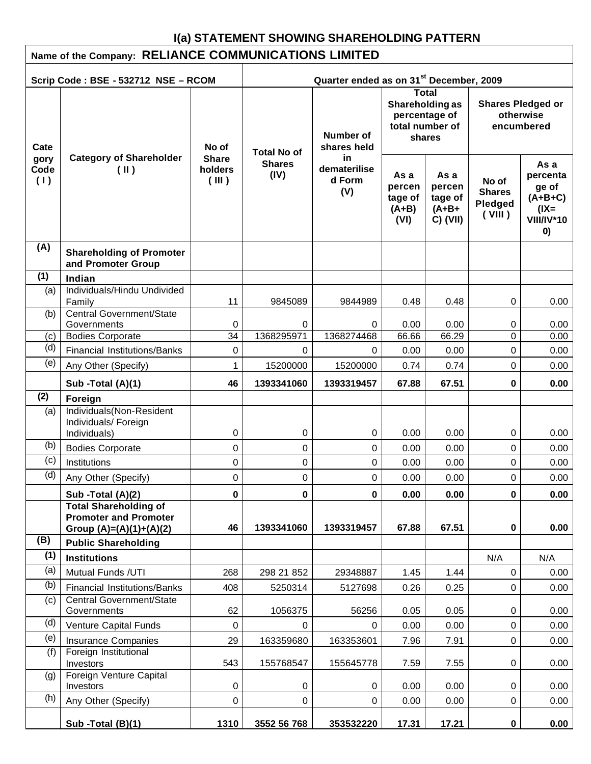# **I(a) STATEMENT SHOWING SHAREHOLDING PATTERN**

| Name of the Company: RELIANCE COMMUNICATIONS LIMITED                                       |                                                                  |                                  |                                             |                                      |                                                                               |                                                    |                                                     |                                                                              |
|--------------------------------------------------------------------------------------------|------------------------------------------------------------------|----------------------------------|---------------------------------------------|--------------------------------------|-------------------------------------------------------------------------------|----------------------------------------------------|-----------------------------------------------------|------------------------------------------------------------------------------|
| Quarter ended as on 31 <sup>st</sup> December, 2009<br>Scrip Code: BSE - 532712 NSE - RCOM |                                                                  |                                  |                                             |                                      |                                                                               |                                                    |                                                     |                                                                              |
| Cate                                                                                       |                                                                  | No of                            |                                             | Number of<br>shares held             | <b>Total</b><br>Shareholding as<br>percentage of<br>total number of<br>shares |                                                    | <b>Shares Pledged or</b><br>otherwise<br>encumbered |                                                                              |
| gory<br>Code<br>(1)                                                                        | <b>Category of Shareholder</b><br>$(\parallel)$                  | <b>Share</b><br>holders<br>(III) | <b>Total No of</b><br><b>Shares</b><br>(IV) | in.<br>dematerilise<br>d Form<br>(V) | As a<br>percen<br>tage of<br>$(A+B)$<br>(VI)                                  | As a<br>percen<br>tage of<br>$(A+B+$<br>$C)$ (VII) | No of<br><b>Shares</b><br>Pledged<br>(VIII)         | As a<br>percenta<br>ge of<br>$(A+B+C)$<br>$(IX =$<br><b>VIII/IV*10</b><br>0) |
| (A)                                                                                        | <b>Shareholding of Promoter</b><br>and Promoter Group            |                                  |                                             |                                      |                                                                               |                                                    |                                                     |                                                                              |
| (1)                                                                                        | Indian                                                           |                                  |                                             |                                      |                                                                               |                                                    |                                                     |                                                                              |
| (a)                                                                                        | Individuals/Hindu Undivided<br>Family                            | 11                               | 9845089                                     | 9844989                              | 0.48                                                                          | 0.48                                               | 0                                                   | 0.00                                                                         |
| (b)                                                                                        | <b>Central Government/State</b><br>Governments                   | 0                                | 0                                           | 0                                    | 0.00                                                                          | 0.00                                               | 0                                                   | 0.00                                                                         |
| (c)                                                                                        | <b>Bodies Corporate</b>                                          | 34                               | 1368295971                                  | 1368274468                           | 66.66                                                                         | 66.29                                              | 0                                                   | 0.00                                                                         |
| (d)                                                                                        | <b>Financial Institutions/Banks</b>                              | 0                                | 0                                           | 0                                    | 0.00                                                                          | 0.00                                               | 0                                                   | 0.00                                                                         |
| (e)                                                                                        | Any Other (Specify)                                              | 1                                | 15200000                                    | 15200000                             | 0.74                                                                          | 0.74                                               | $\Omega$                                            | 0.00                                                                         |
|                                                                                            | Sub -Total (A)(1)                                                | 46                               | 1393341060                                  | 1393319457                           | 67.88                                                                         | 67.51                                              | 0                                                   | 0.00                                                                         |
| (2)                                                                                        | Foreign                                                          |                                  |                                             |                                      |                                                                               |                                                    |                                                     |                                                                              |
| (a)                                                                                        | Individuals(Non-Resident<br>Individuals/ Foreign<br>Individuals) | 0                                | 0                                           | 0                                    | 0.00                                                                          | 0.00                                               | 0                                                   | 0.00                                                                         |
| (b)                                                                                        | <b>Bodies Corporate</b>                                          | 0                                | 0                                           | 0                                    | 0.00                                                                          | 0.00                                               | 0                                                   | 0.00                                                                         |
| (c)                                                                                        | Institutions                                                     | 0                                | 0                                           | 0                                    | 0.00                                                                          | 0.00                                               | 0                                                   | 0.00                                                                         |
| (d)                                                                                        | Any Other (Specify)                                              | 0                                | 0                                           | 0                                    | 0.00                                                                          | 0.00                                               | $\Omega$                                            | 0.00                                                                         |
|                                                                                            |                                                                  |                                  |                                             |                                      |                                                                               |                                                    |                                                     |                                                                              |
|                                                                                            | Sub -Total (A)(2)<br><b>Total Shareholding of</b>                | 0                                | 0                                           | 0                                    | 0.00                                                                          | 0.00                                               | 0                                                   | 0.00                                                                         |
|                                                                                            | <b>Promoter and Promoter</b>                                     |                                  |                                             |                                      |                                                                               |                                                    |                                                     |                                                                              |
|                                                                                            | Group $(A)=(A)(1)+(A)(2)$                                        | 46                               | 1393341060                                  | 1393319457                           | 67.88                                                                         | 67.51                                              | 0                                                   | 0.00                                                                         |
| (B)                                                                                        | <b>Public Shareholding</b>                                       |                                  |                                             |                                      |                                                                               |                                                    |                                                     |                                                                              |
| (1)                                                                                        | <b>Institutions</b>                                              |                                  |                                             |                                      |                                                                               |                                                    | N/A                                                 | N/A                                                                          |
| (a)                                                                                        | Mutual Funds /UTI                                                | 268                              | 298 21 852                                  | 29348887                             | 1.45                                                                          | 1.44                                               | 0                                                   | 0.00                                                                         |
| (b)                                                                                        | <b>Financial Institutions/Banks</b>                              | 408                              | 5250314                                     | 5127698                              | 0.26                                                                          | 0.25                                               | 0                                                   | 0.00                                                                         |
| (c)                                                                                        | <b>Central Government/State</b><br>Governments                   | 62                               | 1056375                                     | 56256                                | 0.05                                                                          | 0.05                                               | 0                                                   | 0.00                                                                         |
| (d)                                                                                        | Venture Capital Funds                                            | 0                                | 0                                           | 0                                    | 0.00                                                                          | 0.00                                               | 0                                                   | 0.00                                                                         |
| (e)                                                                                        | <b>Insurance Companies</b>                                       | 29                               | 163359680                                   | 163353601                            | 7.96                                                                          | 7.91                                               | 0                                                   | 0.00                                                                         |
| (f)                                                                                        | Foreign Institutional<br>Investors                               | 543                              | 155768547                                   | 155645778                            | 7.59                                                                          | 7.55                                               | 0                                                   | 0.00                                                                         |
| (g)                                                                                        | Foreign Venture Capital<br>Investors                             | 0                                | 0                                           | 0                                    | 0.00                                                                          | 0.00                                               | 0                                                   | 0.00                                                                         |
| (h)                                                                                        | Any Other (Specify)                                              | 0                                | 0                                           | 0                                    | 0.00                                                                          | 0.00                                               | 0                                                   | 0.00                                                                         |
|                                                                                            | Sub -Total (B)(1)                                                | 1310                             | 3552 56 768                                 | 353532220                            | 17.31                                                                         | 17.21                                              | 0                                                   | 0.00                                                                         |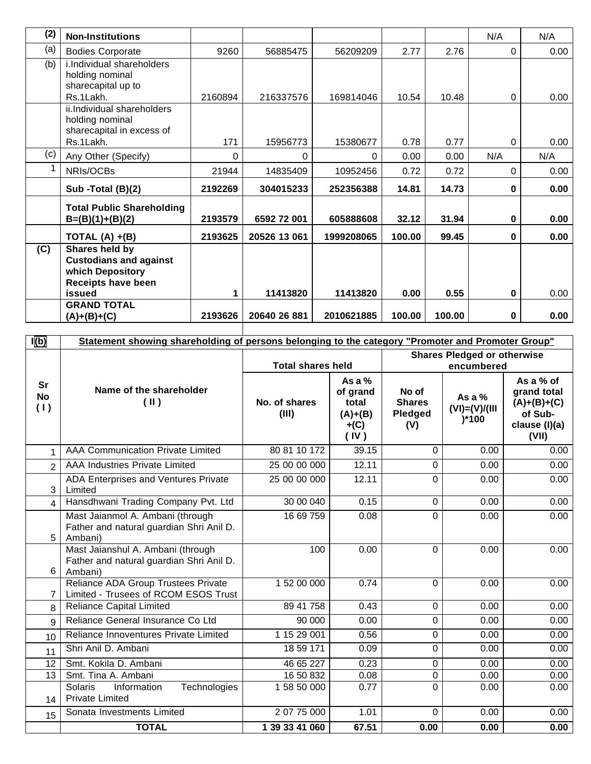| (2) | <b>Non-Institutions</b>                                                                          |         |              |            |        |        | N/A      | N/A  |
|-----|--------------------------------------------------------------------------------------------------|---------|--------------|------------|--------|--------|----------|------|
| (a) | <b>Bodies Corporate</b>                                                                          | 9260    | 56885475     | 56209209   | 2.77   | 2.76   | 0        | 0.00 |
| (b) | i.Individual shareholders<br>holding nominal<br>sharecapital up to                               |         |              |            |        |        |          |      |
|     | Rs.1Lakh.                                                                                        | 2160894 | 216337576    | 169814046  | 10.54  | 10.48  | 0        | 0.00 |
|     | ii.Individual shareholders<br>holding nominal<br>sharecapital in excess of                       |         |              |            |        |        |          |      |
|     | Rs.1Lakh.                                                                                        | 171     | 15956773     | 15380677   | 0.78   | 0.77   | 0        | 0.00 |
| (c) | Any Other (Specify)                                                                              | 0       | 0            | 0          | 0.00   | 0.00   | N/A      | N/A  |
|     | NRIs/OCBs                                                                                        | 21944   | 14835409     | 10952456   | 0.72   | 0.72   | $\Omega$ | 0.00 |
|     | Sub -Total (B)(2)                                                                                | 2192269 | 304015233    | 252356388  | 14.81  | 14.73  | $\bf{0}$ | 0.00 |
|     | <b>Total Public Shareholding</b><br>$B=(B)(1)+(B)(2)$                                            | 2193579 | 6592 72 001  | 605888608  | 32.12  | 31.94  | $\bf{0}$ | 0.00 |
|     | TOTAL $(A) + (B)$                                                                                | 2193625 | 20526 13 061 | 1999208065 | 100.00 | 99.45  | $\bf{0}$ | 0.00 |
| (C) | Shares held by<br><b>Custodians and against</b><br>which Depository<br><b>Receipts have been</b> |         |              |            |        |        |          |      |
|     | issued                                                                                           | 1       | 11413820     | 11413820   | 0.00   | 0.55   | 0        | 0.00 |
|     | <b>GRAND TOTAL</b><br>$(A)+(B)+(C)$                                                              | 2193626 | 20640 26 881 | 2010621885 | 100.00 | 100.00 | 0        | 0.00 |

| I(b)                          | Statement showing shareholding of persons belonging to the category "Promoter and Promoter Group" |                          |                                                              |                                          |                                           |                                                                                  |  |
|-------------------------------|---------------------------------------------------------------------------------------------------|--------------------------|--------------------------------------------------------------|------------------------------------------|-------------------------------------------|----------------------------------------------------------------------------------|--|
|                               |                                                                                                   |                          |                                                              | <b>Shares Pledged or otherwise</b>       |                                           |                                                                                  |  |
|                               |                                                                                                   | <b>Total shares held</b> |                                                              |                                          | encumbered                                |                                                                                  |  |
| <b>Sr</b><br><b>No</b><br>(1) | Name of the shareholder<br>(  )                                                                   | No. of shares<br>(III)   | As a $%$<br>of grand<br>total<br>$(A)+(B)$<br>$+(C)$<br>(IV) | No of<br><b>Shares</b><br>Pledged<br>(V) | As a $%$<br>$(VI) = (V)/(III)$<br>$)*100$ | As a $%$ of<br>grand total<br>$(A)+(B)+(C)$<br>of Sub-<br>clause (I)(a)<br>(VII) |  |
|                               | AAA Communication Private Limited                                                                 | 80 81 10 172             | 39.15                                                        | $\mathbf 0$                              | 0.00                                      | 0.00                                                                             |  |
| $\overline{2}$                | AAA Industries Private Limited                                                                    | 25 00 00 000             | 12.11                                                        | $\mathbf 0$                              | 0.00                                      | 0.00                                                                             |  |
| 3                             | ADA Enterprises and Ventures Private<br>Limited                                                   | 25 00 00 000             | 12.11                                                        | $\mathbf 0$                              | 0.00                                      | 0.00                                                                             |  |
| 4                             | Hansdhwani Trading Company Pvt. Ltd                                                               | 30 00 040                | 0.15                                                         | $\mathbf 0$                              | 0.00                                      | 0.00                                                                             |  |
| 5                             | Mast Jaianmol A. Ambani (through<br>Father and natural guardian Shri Anil D.<br>Ambani)           | 16 69 759                | 0.08                                                         | $\mathbf 0$                              | 0.00                                      | 0.00                                                                             |  |
| 6                             | Mast Jaianshul A. Ambani (through<br>Father and natural guardian Shri Anil D.<br>Ambani)          | 100                      | 0.00                                                         | $\mathbf 0$                              | 0.00                                      | 0.00                                                                             |  |
| $\overline{7}$                | Reliance ADA Group Trustees Private<br>Limited - Trusees of RCOM ESOS Trust                       | 1 52 00 000              | 0.74                                                         | $\mathbf 0$                              | 0.00                                      | 0.00                                                                             |  |
| 8                             | <b>Reliance Capital Limited</b>                                                                   | 89 41 758                | 0.43                                                         | 0                                        | 0.00                                      | 0.00                                                                             |  |
| $\mathbf{Q}$                  | Reliance General Insurance Co Ltd                                                                 | 90 000                   | 0.00                                                         | $\mathbf 0$                              | 0.00                                      | 0.00                                                                             |  |
| 10                            | Reliance Innoventures Private Limited                                                             | 1 15 29 001              | 0.56                                                         | $\pmb{0}$                                | 0.00                                      | 0.00                                                                             |  |
| 11                            | Shri Anil D. Ambani                                                                               | 18 59 171                | 0.09                                                         | 0                                        | 0.00                                      | 0.00                                                                             |  |
| 12                            | Smt. Kokila D. Ambani                                                                             | 46 65 227                | 0.23                                                         | $\mathbf 0$                              | 0.00                                      | 0.00                                                                             |  |
| 13                            | Smt. Tina A. Ambani                                                                               | 16 50 832                | 0.08                                                         | 0                                        | 0.00                                      | 0.00                                                                             |  |
| 14                            | Solaris<br>Information<br>Technologies<br><b>Private Limited</b>                                  | 1 58 50 000              | 0.77                                                         | $\Omega$                                 | 0.00                                      | 0.00                                                                             |  |
| 15                            | Sonata Investments Limited                                                                        | 2 07 75 000              | 1.01                                                         | $\mathbf 0$                              | 0.00                                      | 0.00                                                                             |  |
|                               | <b>TOTAL</b>                                                                                      | 1 39 33 41 060           | 67.51                                                        | 0.00                                     | 0.00                                      | 0.00                                                                             |  |